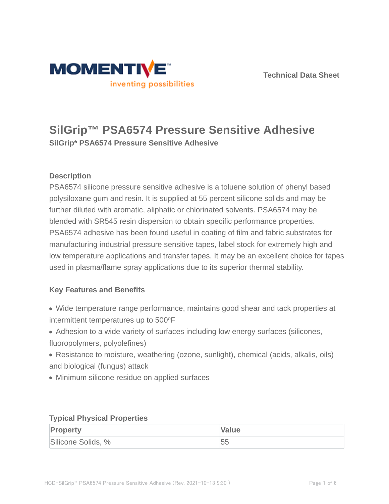



# **SilGrip™ PSA6574 Pressure Sensitive Adhesive SilGrip\* PSA6574 Pressure Sensitive Adhesive**

## **Description**

PSA6574 silicone pressure sensitive adhesive is a toluene solution of phenyl based polysiloxane gum and resin. It is supplied at 55 percent silicone solids and may be further diluted with aromatic, aliphatic or chlorinated solvents. PSA6574 may be blended with SR545 resin dispersion to obtain specific performance properties. PSA6574 adhesive has been found useful in coating of film and fabric substrates for manufacturing industrial pressure sensitive tapes, label stock for extremely high and low temperature applications and transfer tapes. It may be an excellent choice for tapes used in plasma/flame spray applications due to its superior thermal stability.

#### **Key Features and Benefits**

- Wide temperature range performance, maintains good shear and tack properties at intermittent temperatures up to 500°F
- Adhesion to a wide variety of surfaces including low energy surfaces (silicones, fluoropolymers, polyolefines)
- Resistance to moisture, weathering (ozone, sunlight), chemical (acids, alkalis, oils) and biological (fungus) attack
- Minimum silicone residue on applied surfaces

#### **Typical Physical Properties**

| <b>Property</b>    | Value |
|--------------------|-------|
| Silicone Solids, % | 55    |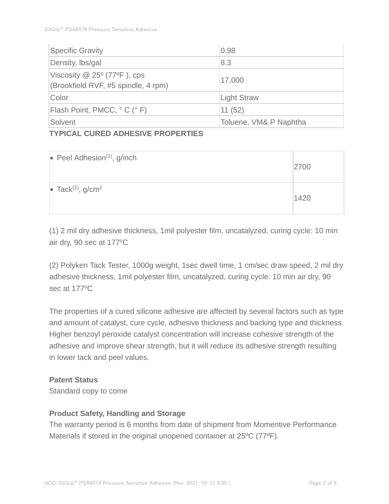| <b>Specific Gravity</b>                                                     | 0.98                   |
|-----------------------------------------------------------------------------|------------------------|
| Density, Ibs/gal                                                            | 8.3                    |
| Viscosity $@$ 25 $°$ (77 $°$ F), cps<br>(Brookfield RVF, #5 spindle, 4 rpm) | 17,000                 |
| Color                                                                       | <b>Light Straw</b>     |
| Flash Point, PMCC, °C (°F)                                                  | 11(52)                 |
| Solvent                                                                     | Toluene, VM& P Naphtha |

#### **TYPICAL CURED ADHESIVE PROPERTIES**

| $\bullet$ Peel Adhesion <sup>(1)</sup> , g/inch | 2700 |
|-------------------------------------------------|------|
| • Tack <sup>(2)</sup> , $g/cm2$                 | 1420 |

(1) 2 mil dry adhesive thickness, 1mil polyester film, uncatalyzed, curing cycle: 10 min air dry, 90 sec at 177°C

(2) Polyken Tack Tester, 1000g weight, 1sec dwell time, 1 cm/sec draw speed, 2 mil dry adhesive thickness, 1mil polyester film, uncatalyzed, curing cycle: 10 min air dry, 90 sec at 177°C

The properties of a cured silicone adhesive are affected by several factors such as type and amount of catalyst, cure cycle, adhesive thickness and backing type and thickness. Higher benzoyl peroxide catalyst concentration will increase cohesive strength of the adhesive and improve shear strength, but it will reduce its adhesive strength resulting in lower tack and peel values.

### **Patent Status**

Standard copy to come

#### **Product Safety, Handling and Storage**

The warranty period is 6 months from date of shipment from Momentive Performance Materials if stored in the original unopened container at 25ºC (77ºF).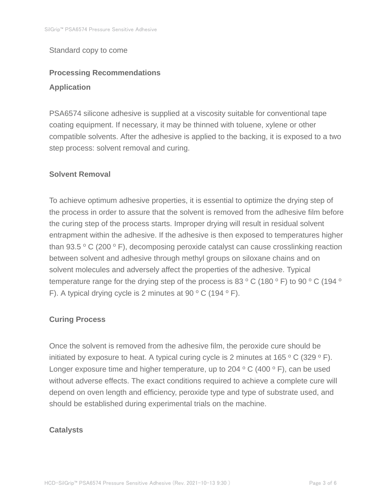#### Standard copy to come

# **Processing Recommendations Application**

PSA6574 silicone adhesive is supplied at a viscosity suitable for conventional tape coating equipment. If necessary, it may be thinned with toluene, xylene or other compatible solvents. After the adhesive is applied to the backing, it is exposed to a two step process: solvent removal and curing.

#### **Solvent Removal**

To achieve optimum adhesive properties, it is essential to optimize the drying step of the process in order to assure that the solvent is removed from the adhesive film before the curing step of the process starts. Improper drying will result in residual solvent entrapment within the adhesive. If the adhesive is then exposed to temperatures higher than 93.5  $\,^{\circ}$  C (200  $\,^{\circ}$  F), decomposing peroxide catalyst can cause crosslinking reaction between solvent and adhesive through methyl groups on siloxane chains and on solvent molecules and adversely affect the properties of the adhesive. Typical temperature range for the drying step of the process is 83  $\rm ^o$  C (180  $\rm ^o$  F) to 90  $\rm ^o$  C (194  $\rm ^o$ F). A typical drying cycle is 2 minutes at 90  $\,^{\circ}$  C (194  $\,^{\circ}$  F).

#### **Curing Process**

Once the solvent is removed from the adhesive film, the peroxide cure should be initiated by exposure to heat. A typical curing cycle is 2 minutes at 165  $\degree$  C (329  $\degree$  F). Longer exposure time and higher temperature, up to 204  $\,^{\circ}$  C (400  $\,^{\circ}$  F), can be used without adverse effects. The exact conditions required to achieve a complete cure will depend on oven length and efficiency, peroxide type and type of substrate used, and should be established during experimental trials on the machine.

#### **Catalysts**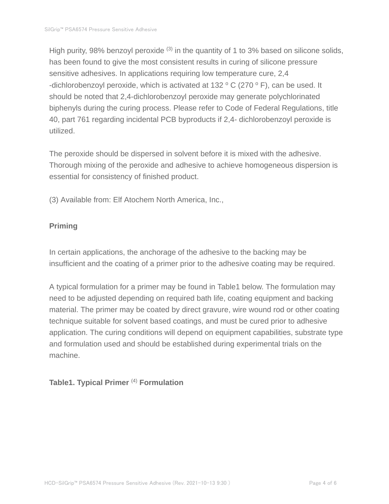High purity, 98% benzoyl peroxide  $(3)$  in the quantity of 1 to 3% based on silicone solids, has been found to give the most consistent results in curing of silicone pressure sensitive adhesives. In applications requiring low temperature cure, 2,4 -dichlorobenzoyl peroxide, which is activated at 132  $\,^{\circ}$  C (270  $\,^{\circ}$  F), can be used. It should be noted that 2,4-dichlorobenzoyl peroxide may generate polychlorinated biphenyls during the curing process. Please refer to Code of Federal Regulations, title 40, part 761 regarding incidental PCB byproducts if 2,4- dichlorobenzoyl peroxide is utilized.

The peroxide should be dispersed in solvent before it is mixed with the adhesive. Thorough mixing of the peroxide and adhesive to achieve homogeneous dispersion is essential for consistency of finished product.

(3) Available from: Elf Atochem North America, Inc.,

### **Priming**

In certain applications, the anchorage of the adhesive to the backing may be insufficient and the coating of a primer prior to the adhesive coating may be required.

A typical formulation for a primer may be found in Table1 below. The formulation may need to be adjusted depending on required bath life, coating equipment and backing material. The primer may be coated by direct gravure, wire wound rod or other coating technique suitable for solvent based coatings, and must be cured prior to adhesive application. The curing conditions will depend on equipment capabilities, substrate type and formulation used and should be established during experimental trials on the machine.

#### **Table1. Typical Primer** (4) **Formulation**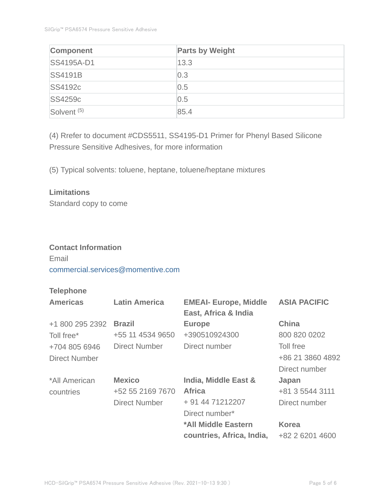| <b>Component</b>       | <b>Parts by Weight</b> |
|------------------------|------------------------|
| <b>SS4195A-D1</b>      | 13.3                   |
| <b>SS4191B</b>         | 0.3                    |
| <b>SS4192c</b>         | 0.5                    |
| <b>SS4259c</b>         | 0.5                    |
| Solvent <sup>(5)</sup> | 85.4                   |

(4) Rrefer to document #CDS5511, SS4195-D1 Primer for Phenyl Based Silicone Pressure Sensitive Adhesives, for more information

(5) Typical solvents: toluene, heptane, toluene/heptane mixtures

### **Limitations**

Standard copy to come

## **Contact Information**

Email commercial.services@momentive.com

## **Telephone**

| <b>Latin America</b> | <b>EMEAI- Europe, Middle</b> | <b>ASIA PACIFIC</b> |
|----------------------|------------------------------|---------------------|
|                      | East, Africa & India         |                     |
| <b>Brazil</b>        | <b>Europe</b>                | <b>China</b>        |
| +55 11 4534 9650     | +390510924300                | 800 820 0202        |
| <b>Direct Number</b> | Direct number                | Toll free           |
|                      |                              | +86 21 3860 4892    |
|                      |                              | Direct number       |
| <b>Mexico</b>        | India, Middle East &         | Japan               |
| +52 55 2169 7670     | <b>Africa</b>                | +81 3 5544 3111     |
| <b>Direct Number</b> | + 91 44 71212207             | Direct number       |
|                      | Direct number*               |                     |
|                      | *All Middle Eastern          | <b>Korea</b>        |
|                      | countries, Africa, India,    | +82 2 6201 4600     |
|                      |                              |                     |